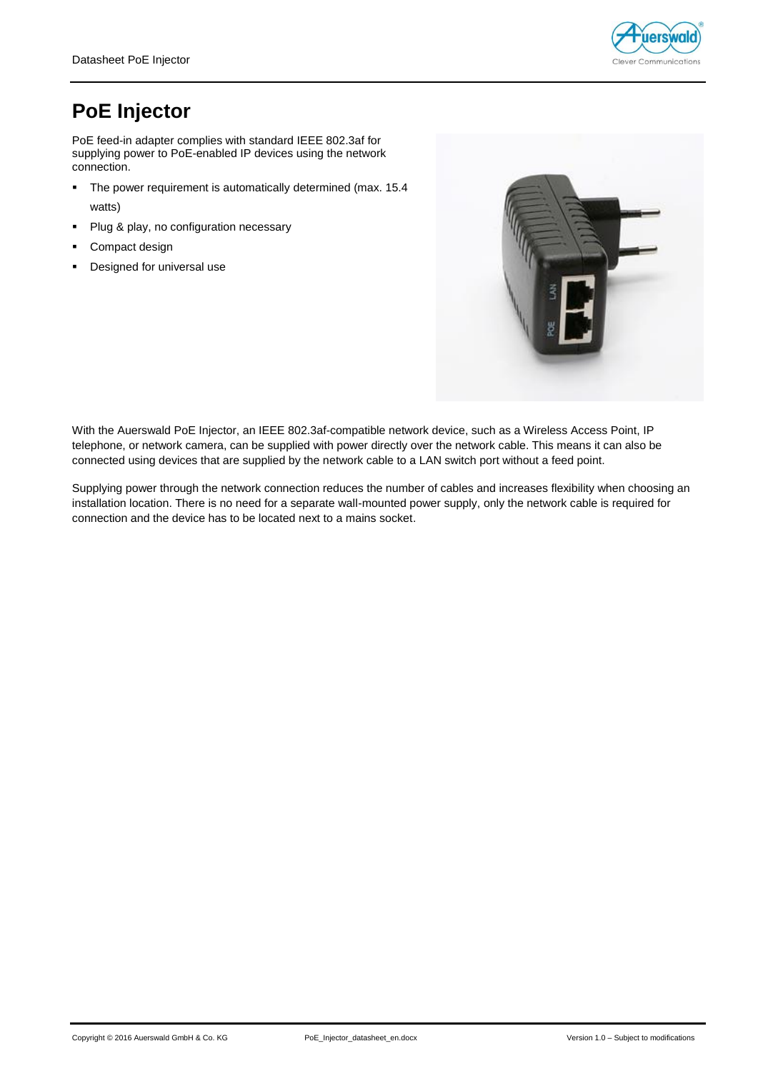

## **PoE Injector**

PoE feed-in adapter complies with standard IEEE 802.3af for supplying power to PoE-enabled IP devices using the network connection.

- The power requirement is automatically determined (max. 15.4 watts)
- Plug & play, no configuration necessary
- Compact design
- **•** Designed for universal use



With the Auerswald PoE Injector, an IEEE 802.3af-compatible network device, such as a Wireless Access Point, IP telephone, or network camera, can be supplied with power directly over the network cable. This means it can also be connected using devices that are supplied by the network cable to a LAN switch port without a feed point.

Supplying power through the network connection reduces the number of cables and increases flexibility when choosing an installation location. There is no need for a separate wall-mounted power supply, only the network cable is required for connection and the device has to be located next to a mains socket.